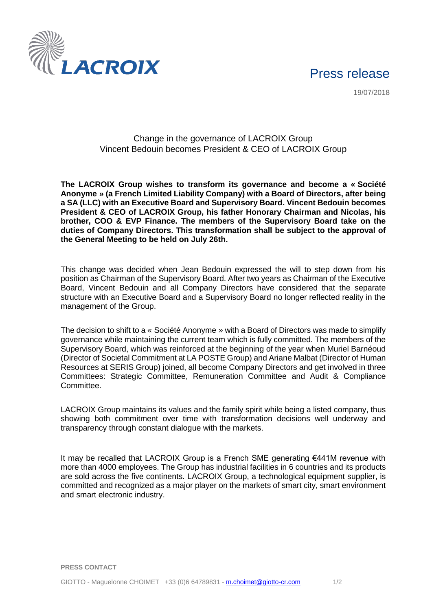

19/07/2018



## Change in the governance of LACROIX Group Vincent Bedouin becomes President & CEO of LACROIX Group

**The LACROIX Group wishes to transform its governance and become a « Société Anonyme » (a French Limited Liability Company) with a Board of Directors, after being a SA (LLC) with an Executive Board and Supervisory Board. Vincent Bedouin becomes President & CEO of LACROIX Group, his father Honorary Chairman and Nicolas, his brother, COO & EVP Finance. The members of the Supervisory Board take on the duties of Company Directors. This transformation shall be subject to the approval of the General Meeting to be held on July 26th.**

This change was decided when Jean Bedouin expressed the will to step down from his position as Chairman of the Supervisory Board. After two years as Chairman of the Executive Board, Vincent Bedouin and all Company Directors have considered that the separate structure with an Executive Board and a Supervisory Board no longer reflected reality in the management of the Group.

The decision to shift to a « Société Anonyme » with a Board of Directors was made to simplify governance while maintaining the current team which is fully committed. The members of the Supervisory Board, which was reinforced at the beginning of the year when Muriel Barnéoud (Director of Societal Commitment at LA POSTE Group) and Ariane Malbat (Director of Human Resources at SERIS Group) joined, all become Company Directors and get involved in three Committees: Strategic Committee, Remuneration Committee and Audit & Compliance Committee.

LACROIX Group maintains its values and the family spirit while being a listed company, thus showing both commitment over time with transformation decisions well underway and transparency through constant dialogue with the markets.

It may be recalled that LACROIX Group is a French SME generating €441M revenue with more than 4000 employees. The Group has industrial facilities in 6 countries and its products are sold across the five continents. LACROIX Group, a technological equipment supplier, is committed and recognized as a major player on the markets of smart city, smart environment and smart electronic industry.